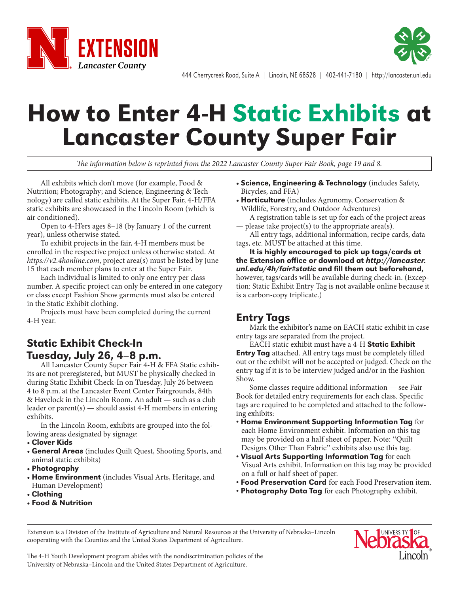



444 Cherrycreek Road, Suite A | Lincoln, NE 68528 | 402-441-7180 | http://lancaster.unl.edu

# How to Enter 4-H Static Exhibits at Lancaster County Super Fair

*The information below is reprinted from the 2022 Lancaster County Super Fair Book, page 19 and 8.*

All exhibits which don't move (for example, Food & Nutrition; Photography; and Science, Engineering & Technology) are called static exhibits. At the Super Fair, 4-H/FFA static exhibits are showcased in the Lincoln Room (which is air conditioned).

Open to 4-H'ers ages 8–18 (by January 1 of the current year), unless otherwise stated.

To exhibit projects in the fair, 4-H members must be enrolled in the respective project unless otherwise stated. At *https://v2.4honline.com*, project area(s) must be listed by June 15 that each member plans to enter at the Super Fair.

Each individual is limited to only one entry per class number. A specific project can only be entered in one category or class except Fashion Show garments must also be entered in the Static Exhibit clothing.

Projects must have been completed during the current 4-H year.

## Static Exhibit Check-In Tuesday, July 26, 4–8 p.m.

All Lancaster County Super Fair 4-H & FFA Static exhibits are not preregistered, but MUST be physically checked in during Static Exhibit Check-In on Tuesday, July 26 between 4 to 8 p.m. at the Lancaster Event Center Fairgrounds, 84th & Havelock in the Lincoln Room. An adult — such as a club leader or parent(s) — should assist 4-H members in entering exhibits.

In the Lincoln Room, exhibits are grouped into the following areas designated by signage:

#### • Clover Kids

- General Areas (includes Quilt Quest, Shooting Sports, and animal static exhibits)
- Photography
- Home Environment (includes Visual Arts, Heritage, and Human Development)
- Clothing
- Food & Nutrition
- Science, Engineering & Technology (includes Safety, Bicycles, and FFA)
- Horticulture (includes Agronomy, Conservation & Wildlife, Forestry, and Outdoor Adventures)
- A registration table is set up for each of the project areas — please take project(s) to the appropriate area(s).

All entry tags, additional information, recipe cards, data tags, etc. MUST be attached at this time.

It is highly encouraged to pick up tags/cards at the Extension office or download at *http://lancaster. unl.edu/4h/fair#static* and fill them out beforehand, however, tags/cards will be available during check-in. (Exception: Static Exhibit Entry Tag is not available online because it is a carbon-copy triplicate.)

### Entry Tags

Mark the exhibitor's name on EACH static exhibit in case entry tags are separated from the project.

EACH static exhibit must have a 4-H Static Exhibit Entry Tag attached. All entry tags must be completely filled out or the exhibit will not be accepted or judged. Check on the entry tag if it is to be interview judged and/or in the Fashion Show.

Some classes require additional information — see Fair Book for detailed entry requirements for each class. Specific tags are required to be completed and attached to the following exhibits:

- Home Environment Supporting Information Tag for each Home Environment exhibit. Information on this tag may be provided on a half sheet of paper. Note: "Quilt Designs Other Than Fabric" exhibits also use this tag.
- Visual Arts Supporting Information Tag for each Visual Arts exhibit. Information on this tag may be provided on a full or half sheet of paper.
- Food Preservation Card for each Food Preservation item.
- Photography Data Tag for each Photography exhibit.

Extension is a Division of the Institute of Agriculture and Natural Resources at the University of Nebraska–Lincoln cooperating with the Counties and the United States Department of Agriculture.



The 4-H Youth Development program abides with the nondiscrimination policies of the University of Nebraska–Lincoln and the United States Department of Agriculture.